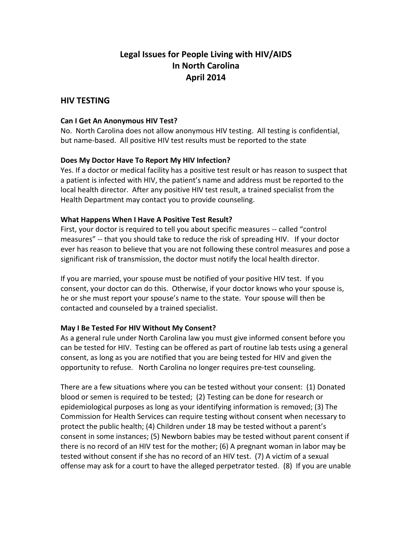# **Legal Issues for People Living with HIV/AIDS In North Carolina April 2014**

## **HIV TESTING**

#### **Can I Get An Anonymous HIV Test?**

No. North Carolina does not allow anonymous HIV testing. All testing is confidential, but name-based. All positive HIV test results must be reported to the state

## **Does My Doctor Have To Report My HIV Infection?**

Yes. If a doctor or medical facility has a positive test result or has reason to suspect that a patient is infected with HIV, the patient's name and address must be reported to the local health director. After any positive HIV test result, a trained specialist from the Health Department may contact you to provide counseling.

#### **What Happens When I Have A Positive Test Result?**

First, your doctor is required to tell you about specific measures -- called "control measures" -- that you should take to reduce the risk of spreading HIV. If your doctor ever has reason to believe that you are not following these control measures and pose a significant risk of transmission, the doctor must notify the local health director.

If you are married, your spouse must be notified of your positive HIV test. If you consent, your doctor can do this. Otherwise, if your doctor knows who your spouse is, he or she must report your spouse's name to the state. Your spouse will then be contacted and counseled by a trained specialist.

## **May I Be Tested For HIV Without My Consent?**

As a general rule under North Carolina law you must give informed consent before you can be tested for HIV. Testing can be offered as part of routine lab tests using a general consent, as long as you are notified that you are being tested for HIV and given the opportunity to refuse. North Carolina no longer requires pre-test counseling.

There are a few situations where you can be tested without your consent: (1) Donated blood or semen is required to be tested; (2) Testing can be done for research or epidemiological purposes as long as your identifying information is removed; (3) The Commission for Health Services can require testing without consent when necessary to protect the public health; (4) Children under 18 may be tested without a parent's consent in some instances; (5) Newborn babies may be tested without parent consent if there is no record of an HIV test for the mother; (6) A pregnant woman in labor may be tested without consent if she has no record of an HIV test. (7) A victim of a sexual offense may ask for a court to have the alleged perpetrator tested. (8) If you are unable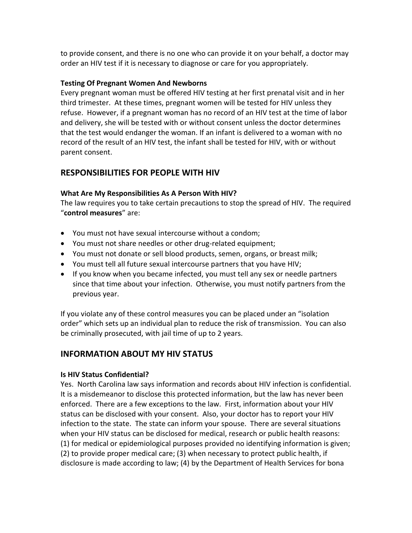to provide consent, and there is no one who can provide it on your behalf, a doctor may order an HIV test if it is necessary to diagnose or care for you appropriately.

## **Testing Of Pregnant Women And Newborns**

Every pregnant woman must be offered HIV testing at her first prenatal visit and in her third trimester. At these times, pregnant women will be tested for HIV unless they refuse. However, if a pregnant woman has no record of an HIV test at the time of labor and delivery, she will be tested with or without consent unless the doctor determines that the test would endanger the woman. If an infant is delivered to a woman with no record of the result of an HIV test, the infant shall be tested for HIV, with or without parent consent.

## **RESPONSIBILITIES FOR PEOPLE WITH HIV**

## **What Are My Responsibilities As A Person With HIV?**

The law requires you to take certain precautions to stop the spread of HIV. The required "**control measures**" are:

- You must not have sexual intercourse without a condom;
- You must not share needles or other drug-related equipment;
- You must not donate or sell blood products, semen, organs, or breast milk;
- You must tell all future sexual intercourse partners that you have HIV;
- If you know when you became infected, you must tell any sex or needle partners since that time about your infection. Otherwise, you must notify partners from the previous year.

If you violate any of these control measures you can be placed under an "isolation order" which sets up an individual plan to reduce the risk of transmission. You can also be criminally prosecuted, with jail time of up to 2 years.

# **INFORMATION ABOUT MY HIV STATUS**

## **Is HIV Status Confidential?**

Yes. North Carolina law says information and records about HIV infection is confidential. It is a misdemeanor to disclose this protected information, but the law has never been enforced. There are a few exceptions to the law. First, information about your HIV status can be disclosed with your consent. Also, your doctor has to report your HIV infection to the state. The state can inform your spouse. There are several situations when your HIV status can be disclosed for medical, research or public health reasons: (1) for medical or epidemiological purposes provided no identifying information is given; (2) to provide proper medical care; (3) when necessary to protect public health, if disclosure is made according to law; (4) by the Department of Health Services for bona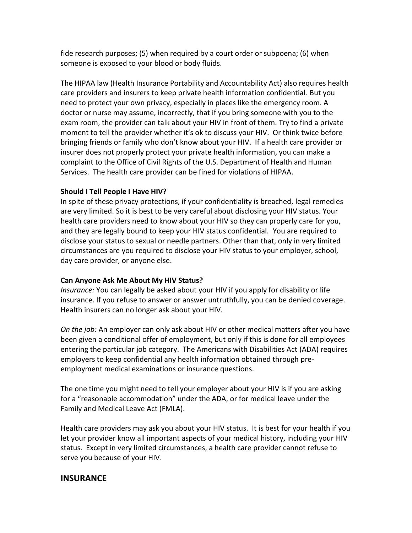fide research purposes; (5) when required by a court order or subpoena; (6) when someone is exposed to your blood or body fluids.

The HIPAA law (Health Insurance Portability and Accountability Act) also requires health care providers and insurers to keep private health information confidential. But you need to protect your own privacy, especially in places like the emergency room. A doctor or nurse may assume, incorrectly, that if you bring someone with you to the exam room, the provider can talk about your HIV in front of them. Try to find a private moment to tell the provider whether it's ok to discuss your HIV. Or think twice before bringing friends or family who don't know about your HIV. If a health care provider or insurer does not properly protect your private health information, you can make a complaint to the Office of Civil Rights of the U.S. Department of Health and Human Services. The health care provider can be fined for violations of HIPAA.

#### **Should I Tell People I Have HIV?**

In spite of these privacy protections, if your confidentiality is breached, legal remedies are very limited. So it is best to be very careful about disclosing your HIV status. Your health care providers need to know about your HIV so they can properly care for you, and they are legally bound to keep your HIV status confidential. You are required to disclose your status to sexual or needle partners. Other than that, only in very limited circumstances are you required to disclose your HIV status to your employer, school, day care provider, or anyone else.

## **Can Anyone Ask Me About My HIV Status?**

*Insurance:* You can legally be asked about your HIV if you apply for disability or life insurance. If you refuse to answer or answer untruthfully, you can be denied coverage. Health insurers can no longer ask about your HIV.

*On the job:* An employer can only ask about HIV or other medical matters after you have been given a conditional offer of employment, but only if this is done for all employees entering the particular job category. The Americans with Disabilities Act (ADA) requires employers to keep confidential any health information obtained through preemployment medical examinations or insurance questions.

The one time you might need to tell your employer about your HIV is if you are asking for a "reasonable accommodation" under the ADA, or for medical leave under the Family and Medical Leave Act (FMLA).

Health care providers may ask you about your HIV status. It is best for your health if you let your provider know all important aspects of your medical history, including your HIV status. Except in very limited circumstances, a health care provider cannot refuse to serve you because of your HIV.

## **INSURANCE**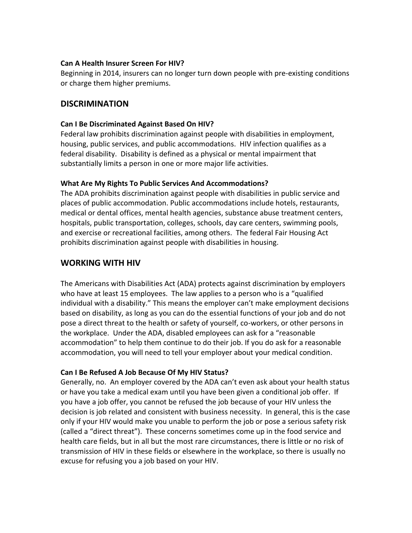#### **Can A Health Insurer Screen For HIV?**

Beginning in 2014, insurers can no longer turn down people with pre-existing conditions or charge them higher premiums.

## **DISCRIMINATION**

#### **Can I Be Discriminated Against Based On HIV?**

Federal law prohibits discrimination against people with disabilities in employment, housing, public services, and public accommodations. HIV infection qualifies as a federal disability. Disability is defined as a physical or mental impairment that substantially limits a person in one or more major life activities.

#### **What Are My Rights To Public Services And Accommodations?**

The ADA prohibits discrimination against people with disabilities in public service and places of public accommodation. Public accommodations include hotels, restaurants, medical or dental offices, mental health agencies, substance abuse treatment centers, hospitals, public transportation, colleges, schools, day care centers, swimming pools, and exercise or recreational facilities, among others. The federal Fair Housing Act prohibits discrimination against people with disabilities in housing.

## **WORKING WITH HIV**

The Americans with Disabilities Act (ADA) protects against discrimination by employers who have at least 15 employees. The law applies to a person who is a "qualified individual with a disability." This means the employer can't make employment decisions based on disability, as long as you can do the essential functions of your job and do not pose a direct threat to the health or safety of yourself, co-workers, or other persons in the workplace. Under the ADA, disabled employees can ask for a "reasonable accommodation" to help them continue to do their job. If you do ask for a reasonable accommodation, you will need to tell your employer about your medical condition.

## **Can I Be Refused A Job Because Of My HIV Status?**

Generally, no. An employer covered by the ADA can't even ask about your health status or have you take a medical exam until you have been given a conditional job offer. If you have a job offer, you cannot be refused the job because of your HIV unless the decision is job related and consistent with business necessity. In general, this is the case only if your HIV would make you unable to perform the job or pose a serious safety risk (called a "direct threat"). These concerns sometimes come up in the food service and health care fields, but in all but the most rare circumstances, there is little or no risk of transmission of HIV in these fields or elsewhere in the workplace, so there is usually no excuse for refusing you a job based on your HIV.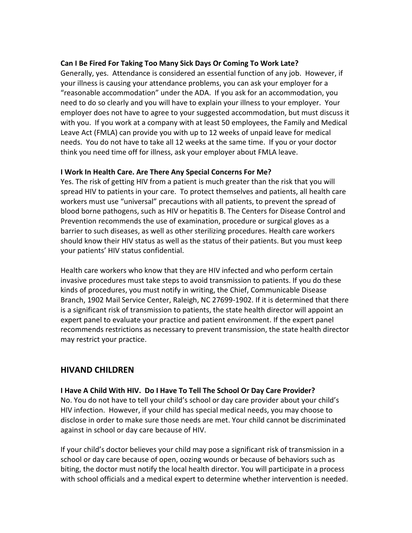#### **Can I Be Fired For Taking Too Many Sick Days Or Coming To Work Late?**

Generally, yes. Attendance is considered an essential function of any job. However, if your illness is causing your attendance problems, you can ask your employer for a "reasonable accommodation" under the ADA. If you ask for an accommodation, you need to do so clearly and you will have to explain your illness to your employer. Your employer does not have to agree to your suggested accommodation, but must discuss it with you. If you work at a company with at least 50 employees, the Family and Medical Leave Act (FMLA) can provide you with up to 12 weeks of unpaid leave for medical needs. You do not have to take all 12 weeks at the same time. If you or your doctor think you need time off for illness, ask your employer about FMLA leave.

#### **I Work In Health Care. Are There Any Special Concerns For Me?**

Yes. The risk of getting HIV from a patient is much greater than the risk that you will spread HIV to patients in your care. To protect themselves and patients, all health care workers must use "universal" precautions with all patients, to prevent the spread of blood borne pathogens, such as HIV or hepatitis B. The Centers for Disease Control and Prevention recommends the use of examination, procedure or surgical gloves as a barrier to such diseases, as well as other sterilizing procedures. Health care workers should know their HIV status as well as the status of their patients. But you must keep your patients' HIV status confidential.

Health care workers who know that they are HIV infected and who perform certain invasive procedures must take steps to avoid transmission to patients. If you do these kinds of procedures, you must notify in writing, the Chief, Communicable Disease Branch, 1902 Mail Service Center, Raleigh, NC 27699-1902. If it is determined that there is a significant risk of transmission to patients, the state health director will appoint an expert panel to evaluate your practice and patient environment. If the expert panel recommends restrictions as necessary to prevent transmission, the state health director may restrict your practice.

## **HIVAND CHILDREN**

**I Have A Child With HIV. Do I Have To Tell The School Or Day Care Provider?**

No. You do not have to tell your child's school or day care provider about your child's HIV infection. However, if your child has special medical needs, you may choose to disclose in order to make sure those needs are met. Your child cannot be discriminated against in school or day care because of HIV.

If your child's doctor believes your child may pose a significant risk of transmission in a school or day care because of open, oozing wounds or because of behaviors such as biting, the doctor must notify the local health director. You will participate in a process with school officials and a medical expert to determine whether intervention is needed.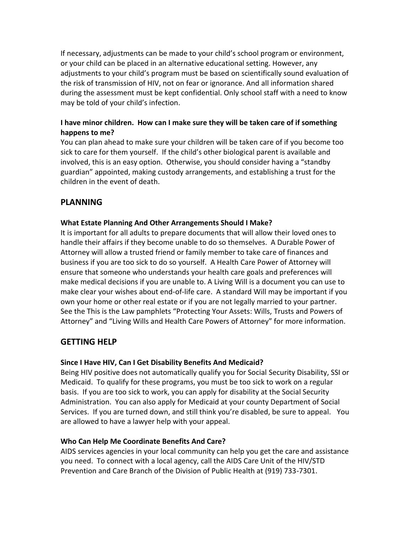If necessary, adjustments can be made to your child's school program or environment, or your child can be placed in an alternative educational setting. However, any adjustments to your child's program must be based on scientifically sound evaluation of the risk of transmission of HIV, not on fear or ignorance. And all information shared during the assessment must be kept confidential. Only school staff with a need to know may be told of your child's infection.

## **I have minor children. How can I make sure they will be taken care of if something happens to me?**

You can plan ahead to make sure your children will be taken care of if you become too sick to care for them yourself. If the child's other biological parent is available and involved, this is an easy option. Otherwise, you should consider having a "standby guardian" appointed, making custody arrangements, and establishing a trust for the children in the event of death.

# **PLANNING**

## **What Estate Planning And Other Arrangements Should I Make?**

It is important for all adults to prepare documents that will allow their loved ones to handle their affairs if they become unable to do so themselves. A Durable Power of Attorney will allow a trusted friend or family member to take care of finances and business if you are too sick to do so yourself. A Health Care Power of Attorney will ensure that someone who understands your health care goals and preferences will make medical decisions if you are unable to. A Living Will is a document you can use to make clear your wishes about end-of-life care. A standard Will may be important if you own your home or other real estate or if you are not legally married to your partner. See the This is the Law pamphlets "Protecting Your Assets: Wills, Trusts and Powers of Attorney" and "Living Wills and Health Care Powers of Attorney" for more information.

## **GETTING HELP**

## **Since I Have HIV, Can I Get Disability Benefits And Medicaid?**

Being HIV positive does not automatically qualify you for Social Security Disability, SSI or Medicaid. To qualify for these programs, you must be too sick to work on a regular basis. If you are too sick to work, you can apply for disability at the Social Security Administration. You can also apply for Medicaid at your county Department of Social Services. If you are turned down, and still think you're disabled, be sure to appeal. You are allowed to have a lawyer help with your appeal.

## **Who Can Help Me Coordinate Benefits And Care?**

AIDS services agencies in your local community can help you get the care and assistance you need. To connect with a local agency, call the AIDS Care Unit of the HIV/STD Prevention and Care Branch of the Division of Public Health at (919) 733-7301.